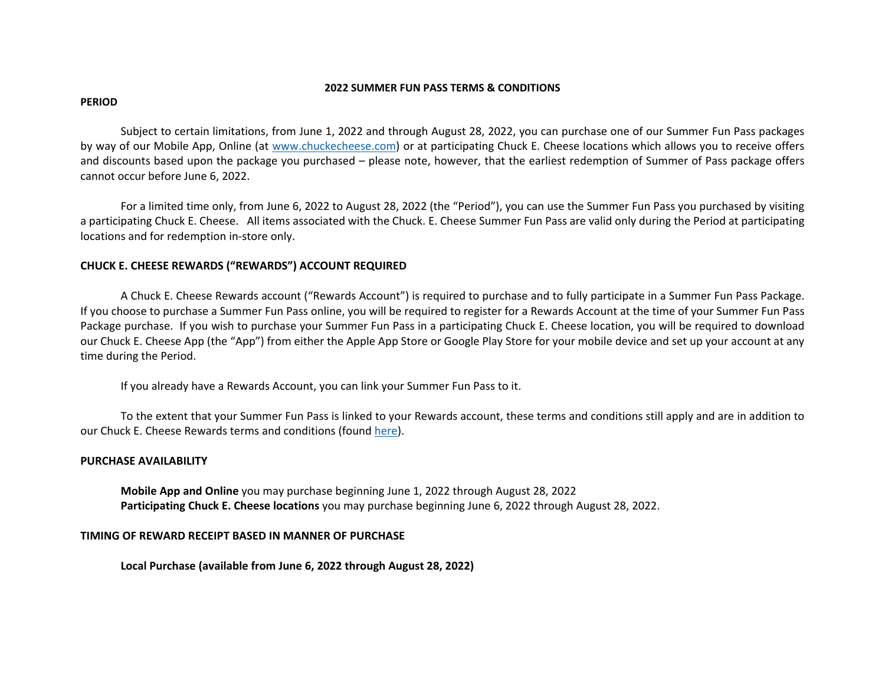#### **2022 SUMMER FUN PASS TERMS & CONDITIONS**

#### **PERIOD**

Subject to certain limitations, from June 1, 2022 and through August 28, 2022, you can purchase one of our Summer Fun Pass packages by way of our Mobile App, Online (at www.chuckecheese.com) or at participating Chuck E. Cheese locations which allows you to receive offers and discounts based upon the package you purchased – please note, however, that the earliest redemption of Summer of Pass package offers cannot occur before June 6, 2022.

For a limited time only, from June 6, 2022 to August 28, 2022 (the "Period"), you can use the Summer Fun Pass you purchased by visiting a participating Chuck E. Cheese. All items associated with the Chuck. E. Cheese Summer Fun Pass are valid only during the Period at participating locations and for redemption in‐store only.

## **CHUCK E. CHEESE REWARDS ("REWARDS") ACCOUNT REQUIRED**

A Chuck E. Cheese Rewards account ("Rewards Account") is required to purchase and to fully participate in a Summer Fun Pass Package. If you choose to purchase a Summer Fun Pass online, you will be required to register for a Rewards Account at the time of your Summer Fun Pass Package purchase. If you wish to purchase your Summer Fun Pass in a participating Chuck E. Cheese location, you will be required to download our Chuck E. Cheese App (the "App") from either the Apple App Store or Google Play Store for your mobile device and set up your account at any time during the Period.

If you already have a Rewards Account, you can link your Summer Fun Pass to it.

To the extent that your Summer Fun Pass is linked to your Rewards account, these terms and conditions still apply and are in addition to our Chuck E. Cheese Rewards terms and conditions (found <u>here</u>).

## **PURCHASE AVAILABILITY**

**Mobile App and Online** you may purchase beginning June 1, 2022 through August 28, 2022 **Participating Chuck E. Cheese locations** you may purchase beginning June 6, 2022 through August 28, 2022.

## **TIMING OF REWARD RECEIPT BASED IN MANNER OF PURCHASE**

**Local Purchase (available from June 6, 2022 through August 28, 2022)**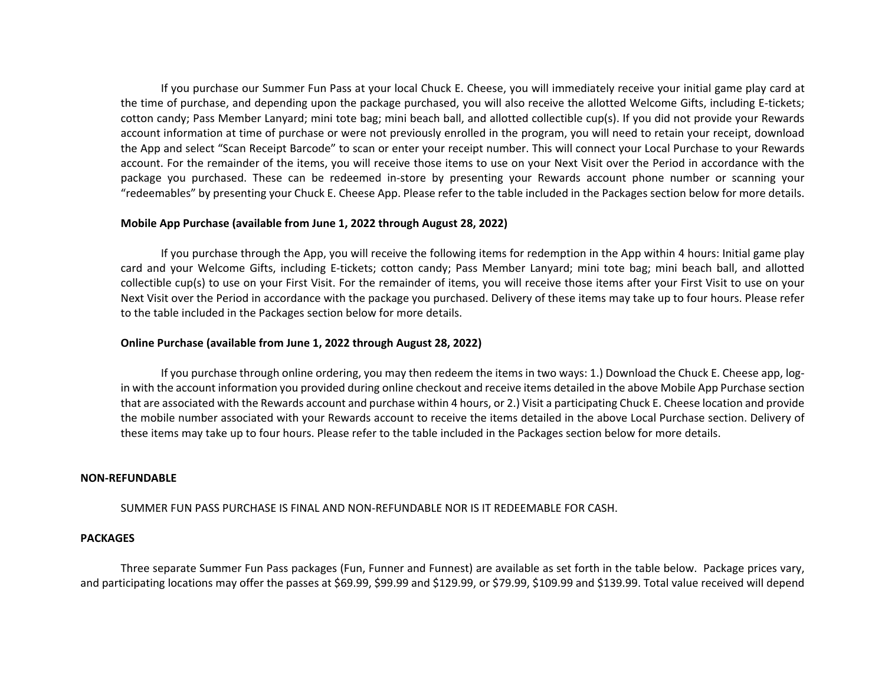If you purchase our Summer Fun Pass at your local Chuck E. Cheese, you will immediately receive your initial game play card at the time of purchase, and depending upon the package purchased, you will also receive the allotted Welcome Gifts, including E‐tickets; cotton candy; Pass Member Lanyard; mini tote bag; mini beach ball, and allotted collectible cup(s). If you did not provide your Rewards account information at time of purchase or were not previously enrolled in the program, you will need to retain your receipt, download the App and select "Scan Receipt Barcode" to scan or enter your receipt number. This will connect your Local Purchase to your Rewards account. For the remainder of the items, you will receive those items to use on your Next Visit over the Period in accordance with the package you purchased. These can be redeemed in‐store by presenting your Rewards account phone number or scanning your "redeemables" by presenting your Chuck E. Cheese App. Please refer to the table included in the Packages section below for more details.

#### **Mobile App Purchase (available from June 1, 2022 through August 28, 2022)**

If you purchase through the App, you will receive the following items for redemption in the App within 4 hours: Initial game play card and your Welcome Gifts, including E-tickets; cotton candy; Pass Member Lanyard; mini tote bag; mini beach ball, and allotted collectible cup(s) to use on your First Visit. For the remainder of items, you will receive those items after your First Visit to use on your Next Visit over the Period in accordance with the package you purchased. Delivery of these items may take up to four hours. Please refer to the table included in the Packages section below for more details.

#### **Online Purchase (available from June 1, 2022 through August 28, 2022)**

If you purchase through online ordering, you may then redeem the items in two ways: 1.) Download the Chuck E. Cheese app, login with the account information you provided during online checkout and receive items detailed in the above Mobile App Purchase section that are associated with the Rewards account and purchase within 4 hours, or 2.) Visit a participating Chuck E. Cheese location and provide the mobile number associated with your Rewards account to receive the items detailed in the above Local Purchase section. Delivery of these items may take up to four hours. Please refer to the table included in the Packages section below for more details.

#### **NON‐REFUNDABLE**

SUMMER FUN PASS PURCHASE IS FINAL AND NON‐REFUNDABLE NOR IS IT REDEEMABLE FOR CASH.

#### **PACKAGES**

Three separate Summer Fun Pass packages (Fun, Funner and Funnest) are available as set forth in the table below. Package prices vary, and participating locations may offer the passes at \$69.99, \$99.99 and \$129.99, or \$79.99, \$109.99 and \$139.99. Total value received will depend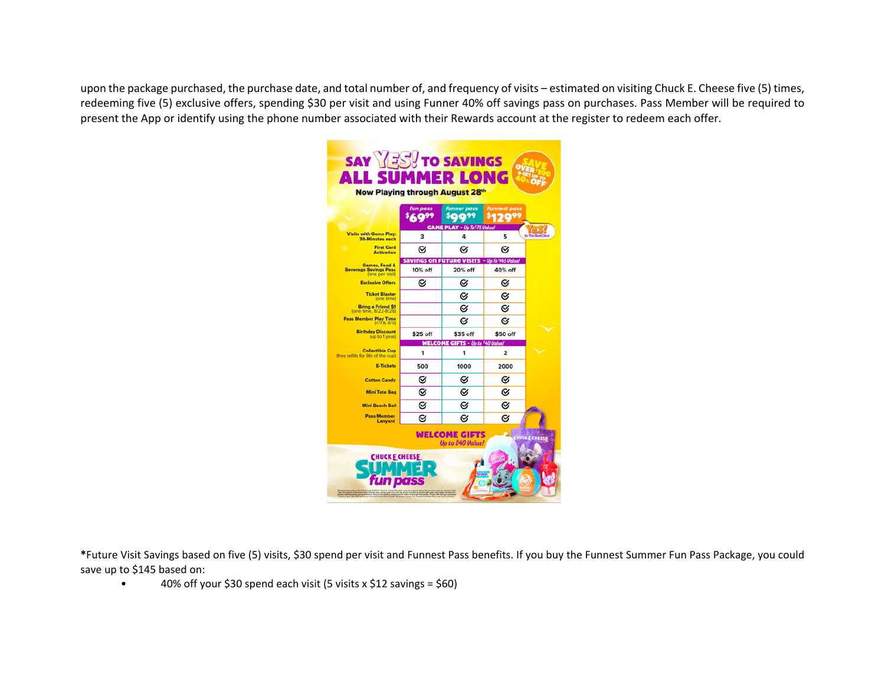upon the package purchased, the purchase date, and total number of, and frequency of visits – estimated on visiting Chuck E. Cheese five (5) times, redeeming five (5) exclusive offers, spending \$30 per visit and using Funner 40% off savings pass on purchases. Pass Member will be required to present the App or identify using the phone number associated with their Rewards account at the register to redeem each offer.

| <b>SAY YES!</b> TO SAVINGS<br><b>ALL SUMMER LONG</b><br>Now Playing through August 28th            |                         |                                                           |                     |                |  |
|----------------------------------------------------------------------------------------------------|-------------------------|-----------------------------------------------------------|---------------------|----------------|--|
|                                                                                                    | n pass                  | funner pass<br>m99<br><b>GAME PLAY - Up To '75 Value!</b> | <b>funnest pass</b> |                |  |
| <b>Visits with Game Play:</b><br><b>30-Minutes each</b>                                            | $\overline{\mathbf{3}}$ | 4                                                         | 5                   | to The Best De |  |
| <b>First Card</b><br><b>Activation</b>                                                             | ∅                       | Ø                                                         | $\alpha$            |                |  |
| <b>Games, Food &amp;</b><br><b>Beverage Savings Pass</b><br>(one per visit)                        | 10% off                 | savings on Future visits - Up To '145 Value!<br>20% off   | 40% off             |                |  |
| <b>Exclusive Offers</b>                                                                            | Ø                       | Ø                                                         | Ø                   |                |  |
| <b>Ticket Blaster</b><br>(one time)                                                                |                         | Ø                                                         | Ø                   |                |  |
| <b>Bring a Friend S1</b><br>(one time, 8/22-8/28)                                                  |                         | Ø                                                         | Ø                   |                |  |
| Pass Member Play Time<br>(7/1 & 8/5)                                                               |                         | Ø                                                         | Ø                   |                |  |
| <b>Birthday Discount</b><br>(up to 1 year)                                                         | \$25 off                | \$35 off                                                  | \$50 off            |                |  |
| <b>Collectible Cup</b><br>(free refills for life of the cup)                                       | 1                       | <b>WELCOME GIFTS - Up to '40 Value!</b><br>1              | 2                   |                |  |
| <b>E-Tickets</b>                                                                                   | 500                     | 1000                                                      | 2000                |                |  |
| <b>Cotton Candy</b>                                                                                | Ø                       | Ø                                                         | Ø                   |                |  |
| <b>Mini Tote Bag</b>                                                                               | Ø                       | Ø                                                         | Ø                   |                |  |
| <b>Mini Beach Ball</b>                                                                             | Ø                       | ø                                                         | Ø                   |                |  |
| <b>Pass Member</b><br>Lanyard                                                                      | ø                       | ø                                                         | Ø                   |                |  |
| <b>WELCOME GIFTS</b><br><b>CHUCKE CHEESE</b><br>Up to \$40 Value!<br><b>CHUCKE CHEESE</b><br>m pos |                         |                                                           |                     |                |  |

**\***Future Visit Savings based on five (5) visits, \$30 spend per visit and Funnest Pass benefits. If you buy the Funnest Summer Fun Pass Package, you could save up to \$145 based on:

 $\bullet$ 40% off your \$30 spend each visit (5 visits x \$12 savings = \$60)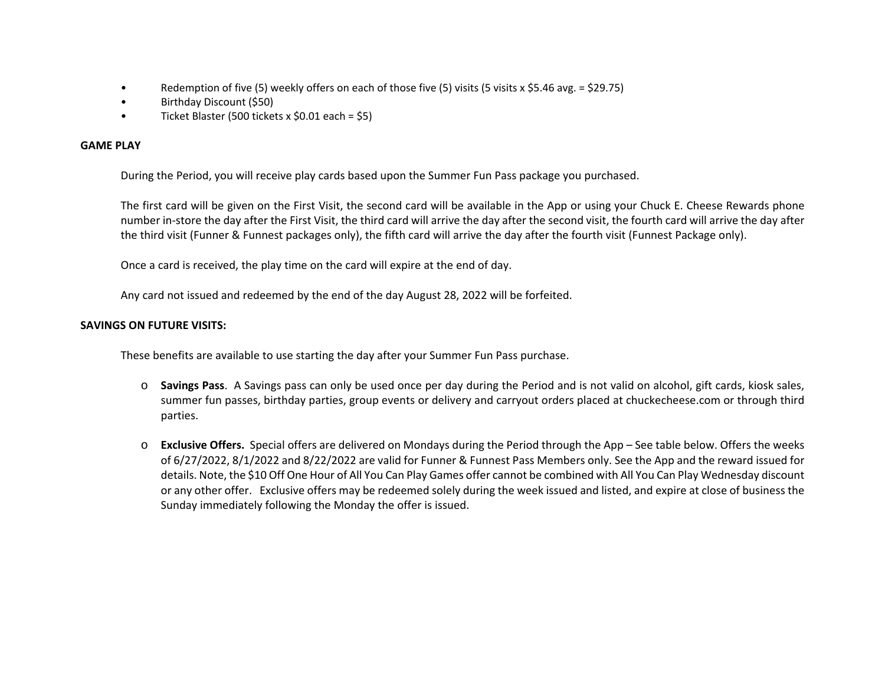- Redemption of five (5) weekly offers on each of those five (5) visits (5 visits x \$5.46 avg. = \$29.75)
- Birthday Discount (\$50)
- Ticket Blaster (500 tickets x \$0.01 each = \$5)

# **GAME PLAY**

During the Period, you will receive play cards based upon the Summer Fun Pass package you purchased.

The first card will be given on the First Visit, the second card will be available in the App or using your Chuck E. Cheese Rewards phone number in‐store the day after the First Visit, the third card will arrive the day after the second visit, the fourth card will arrive the day after the third visit (Funner & Funnest packages only), the fifth card will arrive the day after the fourth visit (Funnest Package only).

Once a card is received, the play time on the card will expire at the end of day.

Any card not issued and redeemed by the end of the day August 28, 2022 will be forfeited.

# **SAVINGS ON FUTURE VISITS:**

These benefits are available to use starting the day after your Summer Fun Pass purchase.

- o **Savings Pass**. A Savings pass can only be used once per day during the Period and is not valid on alcohol, gift cards, kiosk sales, summer fun passes, birthday parties, group events or delivery and carryout orders placed at chuckecheese.com or through third parties.
- o **Exclusive Offers.**  Special offers are delivered on Mondays during the Period through the App See table below. Offers the weeks of 6/27/2022, 8/1/2022 and 8/22/2022 are valid for Funner & Funnest Pass Members only. See the App and the reward issued for details. Note, the \$10 Off One Hour of All You Can Play Games offer cannot be combined with All You Can Play Wednesday discount or any other offer. Exclusive offers may be redeemed solely during the week issued and listed, and expire at close of business the Sunday immediately following the Monday the offer is issued.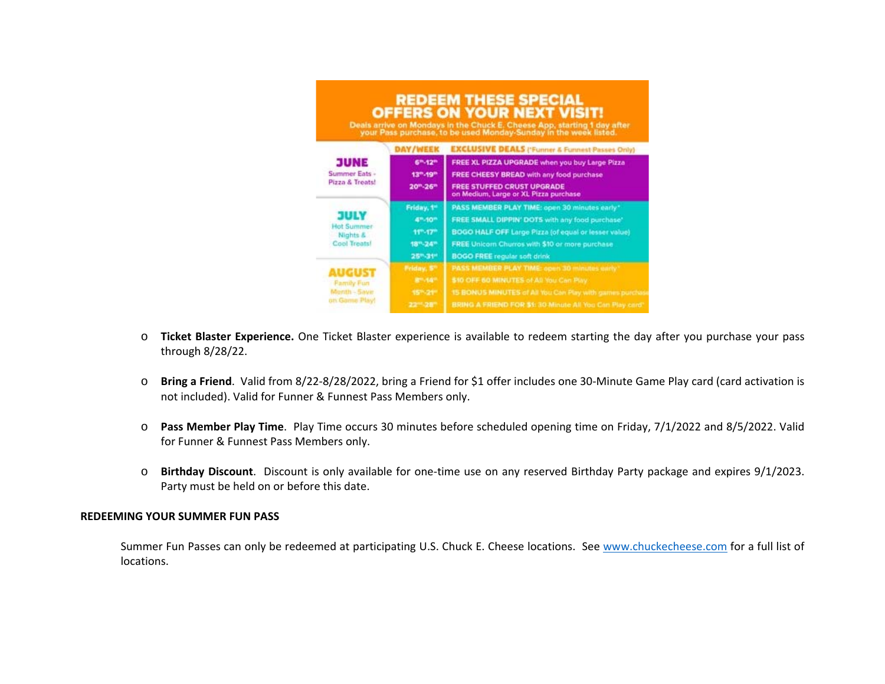|                                                                     |                                   | <b>REDEEM THESE SPECIAL</b><br><b>OFFERS ON YOUR NEXT VISIT!</b><br>Deals arrive on Mondays in the Chuck E. Cheese App, starting 1 day after your Pass purchase, to be used Monday-Sunday in the week listed. |
|---------------------------------------------------------------------|-----------------------------------|---------------------------------------------------------------------------------------------------------------------------------------------------------------------------------------------------------------|
| <b>JUNE</b><br>Summer Eats -<br>Pizza & Treats!                     |                                   | DAY/WEEK EXCLUSIVE DEALS ('Funner & Funnest Passes Only)                                                                                                                                                      |
|                                                                     | 6 <sup>m</sup> -12 <sup>m</sup>   | FREE XL PIZZA UPGRADE when you buy Large Pizza                                                                                                                                                                |
|                                                                     | 13 <sup>m</sup> -19 <sup>m</sup>  | FREE CHEESY BREAD with any food purchase                                                                                                                                                                      |
|                                                                     | $20^{\rm m} \!\cdot\! 26^{\rm m}$ | <b>FREE STUFFED CRUST UPGRADE</b><br>on Medium, Large or XL Pizza purchase                                                                                                                                    |
| <b>JULY</b><br><b>Hot Summer</b><br>Nights &<br><b>Cool Treats!</b> | Friday, 1"                        | PASS MEMBER PLAY TIME: open 30 minutes early"                                                                                                                                                                 |
|                                                                     | 4 <sup>m-10m</sup>                | FREE SMALL DIPPIN' DOTS with any food purchase'                                                                                                                                                               |
|                                                                     | $11^{\circ} \cdot 17^{\circ}$     | <b>BOGO HALF OFF Large Pizza (of equal or lesser value)</b>                                                                                                                                                   |
|                                                                     | 18th-24th                         | FREE Unicom Churros with \$10 or more purchase.                                                                                                                                                               |
|                                                                     | 25%31™                            | <b>BOGO FREE regular soft drink</b>                                                                                                                                                                           |
| NICUS<br><b>Family Fun</b><br>Menth - Save<br>on Game Play!         | Friday, 5°                        | PASS MEMBER PLAY TIME: open 30 minutes early                                                                                                                                                                  |
|                                                                     | 8"-14"                            | \$10 OFF 60 MINUTES of All You Can Play.                                                                                                                                                                      |
|                                                                     | 15" - 21"                         | 15 BONUS MINUTES of All You Can Play with games purchas                                                                                                                                                       |
|                                                                     | 2211-281                          | BRING A FRIEND FOR \$1:30 Minute All You Can Play card"                                                                                                                                                       |

- o **Ticket Blaster Experience.** One Ticket Blaster experience is available to redeem starting the day after you purchase your pass through 8/28/22.
- o **Bring a Friend**. Valid from 8/22‐8/28/2022, bring a Friend for \$1 offer includes one 30‐Minute Game Play card (card activation is not included). Valid for Funner & Funnest Pass Members only.
- o **Pass Member Play Time**. Play Time occurs 30 minutes before scheduled opening time on Friday, 7/1/2022 and 8/5/2022. Valid for Funner & Funnest Pass Members only.
- oBirthday Discount. Discount is only available for one-time use on any reserved Birthday Party package and expires 9/1/2023. Party must be held on or before this date.

## **REDEEMING YOUR SUMMER FUN PASS**

Summer Fun Passes can only be redeemed at participating U.S. Chuck E. Cheese locations. See www.chuckecheese.com for a full list of locations.